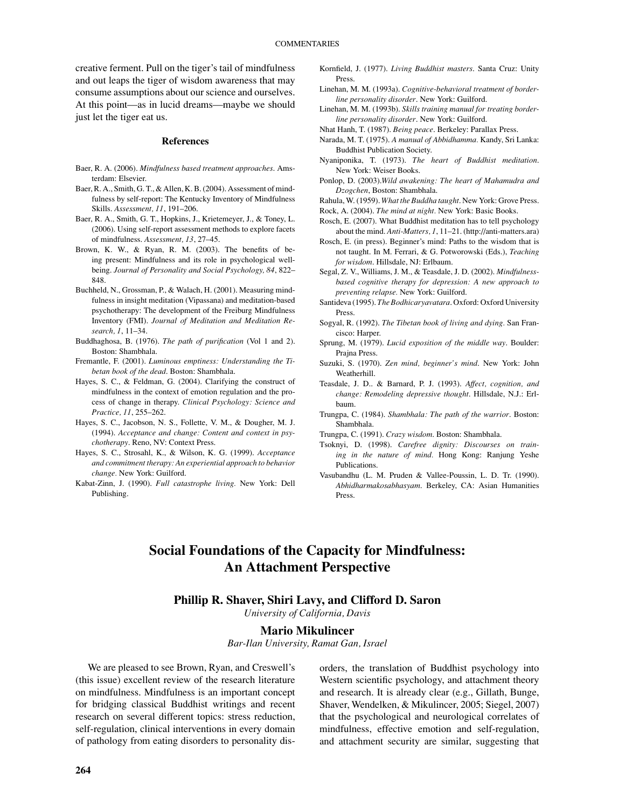creative ferment. Pull on the tiger's tail of mindfulness and out leaps the tiger of wisdom awareness that may consume assumptions about our science and ourselves. At this point—as in lucid dreams—maybe we should just let the tiger eat us.

#### **References**

- Baer, R. A. (2006). *Mindfulness based treatment approaches*. Amsterdam: Elsevier.
- Baer, R. A., Smith, G. T., & Allen, K. B. (2004). Assessment of mindfulness by self-report: The Kentucky Inventory of Mindfulness Skills. *Assessment, 11*, 191–206.
- Baer, R. A., Smith, G. T., Hopkins, J., Krietemeyer, J., & Toney, L. (2006). Using self-report assessment methods to explore facets of mindfulness. *Assessment, 13*, 27–45.
- Brown, K. W., & Ryan, R. M. (2003). The benefits of being present: Mindfulness and its role in psychological wellbeing. *Journal of Personality and Social Psychology, 84*, 822– 848.
- Buchheld, N., Grossman, P., & Walach, H. (2001). Measuring mindfulness in insight meditation (Vipassana) and meditation-based psychotherapy: The development of the Freiburg Mindfulness Inventory (FMI). *Journal of Meditation and Meditation Research, 1*, 11–34.
- Buddhaghosa, B. (1976). *The path of purification* (Vol 1 and 2). Boston: Shambhala.
- Fremantle, F. (2001). *Luminous emptiness: Understanding the Tibetan book of the dead*. Boston: Shambhala.
- Hayes, S. C., & Feldman, G. (2004). Clarifying the construct of mindfulness in the context of emotion regulation and the process of change in therapy. *Clinical Psychology: Science and Practice, 11*, 255–262.
- Hayes, S. C., Jacobson, N. S., Follette, V. M., & Dougher, M. J. (1994). *Acceptance and change: Content and context in psychotherapy*. Reno, NV: Context Press.
- Hayes, S. C., Strosahl, K., & Wilson, K. G. (1999). *Acceptance and commitment therapy: An experiential approach to behavior change.* New York: Guilford.
- Kabat-Zinn, J. (1990). *Full catastrophe living.* New York: Dell Publishing.
- Kornfield, J. (1977). *Living Buddhist masters*. Santa Cruz: Unity Press.
- Linehan, M. M. (1993a). *Cognitive-behavioral treatment of borderline personality disorder*. New York: Guilford.
- Linehan, M. M. (1993b). *Skills training manual for treating borderline personality disorder*. New York: Guilford.
- Nhat Hanh, T. (1987). *Being peace*. Berkeley: Parallax Press.
- Narada, M. T. (1975). *A manual of Abbidhamma.* Kandy, Sri Lanka: Buddhist Publication Society.
- Nyaniponika, T. (1973). *The heart of Buddhist meditation*. New York: Weiser Books.
- Ponlop, D. (2003).*Wild awakening: The heart of Mahamudra and Dzogchen*, Boston: Shambhala.
- Rahula, W. (1959). *What the Buddha taught*. New York: Grove Press.
- Rock, A. (2004). *The mind at night.* New York: Basic Books.
- Rosch, E. (2007). What Buddhist meditation has to tell psychology about the mind. *Anti-Matters, 1*, 11–21. (http://anti-matters.ara)
- Rosch, E. (in press). Beginner's mind: Paths to the wisdom that is not taught. In M. Ferrari, & G. Potworowski (Eds.), *Teaching for wisdom*. Hillsdale, NJ: Erlbaum.
- Segal, Z. V., Williams, J. M., & Teasdale, J. D. (2002). *Mindfulnessbased cognitive therapy for depression: A new approach to preventing relapse.* New York: Guilford.
- Santideva (1995). *The Bodhicaryavatara*. Oxford: Oxford University Press.
- Sogyal, R. (1992). *The Tibetan book of living and dying.* San Francisco: Harper.
- Sprung, M. (1979). *Lucid exposition of the middle way*. Boulder: Prajna Press.
- Suzuki, S. (1970). *Zen mind, beginner's mind*. New York: John Weatherhill.
- Teasdale, J. D.. & Barnard, P. J. (1993). *Affect, cognition, and change: Remodeling depressive thought*. Hillsdale, N.J.: Erlbaum.
- Trungpa, C. (1984). *Shambhala: The path of the warrior*. Boston: Shambhala.
- Trungpa, C. (1991). *Crazy wisdom*. Boston: Shambhala.
- Tsoknyi, D. (1998). *Carefree dignity: Discourses on training in the nature of mind.* Hong Kong: Ranjung Yeshe Publications.
- Vasubandhu (L. M. Pruden & Vallee-Poussin, L. D. Tr. (1990). *Abhidharmakosabhasyam*. Berkeley, CA: Asian Humanities Press.

## **Social Foundations of the Capacity for Mindfulness: An Attachment Perspective**

# **Phillip R. Shaver, Shiri Lavy, and Clifford D. Saron**

*University of California, Davis*

## **Mario Mikulincer**

*Bar-Ilan University, Ramat Gan, Israel*

We are pleased to see Brown, Ryan, and Creswell's (this issue) excellent review of the research literature on mindfulness. Mindfulness is an important concept for bridging classical Buddhist writings and recent research on several different topics: stress reduction, self-regulation, clinical interventions in every domain of pathology from eating disorders to personality disorders, the translation of Buddhist psychology into Western scientific psychology, and attachment theory and research. It is already clear (e.g., Gillath, Bunge, Shaver, Wendelken, & Mikulincer, 2005; Siegel, 2007) that the psychological and neurological correlates of mindfulness, effective emotion and self-regulation, and attachment security are similar, suggesting that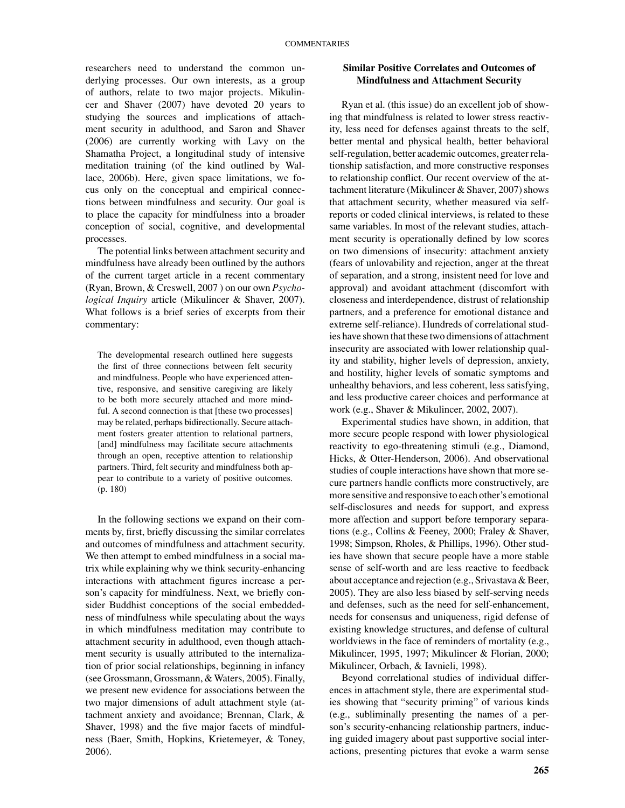researchers need to understand the common underlying processes. Our own interests, as a group of authors, relate to two major projects. Mikulincer and Shaver (2007) have devoted 20 years to studying the sources and implications of attachment security in adulthood, and Saron and Shaver (2006) are currently working with Lavy on the Shamatha Project, a longitudinal study of intensive meditation training (of the kind outlined by Wallace, 2006b). Here, given space limitations, we focus only on the conceptual and empirical connections between mindfulness and security. Our goal is to place the capacity for mindfulness into a broader conception of social, cognitive, and developmental processes.

The potential links between attachment security and mindfulness have already been outlined by the authors of the current target article in a recent commentary (Ryan, Brown, & Creswell, 2007 ) on our own *Psychological Inquiry* article (Mikulincer & Shaver, 2007). What follows is a brief series of excerpts from their commentary:

The developmental research outlined here suggests the first of three connections between felt security and mindfulness. People who have experienced attentive, responsive, and sensitive caregiving are likely to be both more securely attached and more mindful. A second connection is that [these two processes] may be related, perhaps bidirectionally. Secure attachment fosters greater attention to relational partners, [and] mindfulness may facilitate secure attachments through an open, receptive attention to relationship partners. Third, felt security and mindfulness both appear to contribute to a variety of positive outcomes. (p. 180)

In the following sections we expand on their comments by, first, briefly discussing the similar correlates and outcomes of mindfulness and attachment security. We then attempt to embed mindfulness in a social matrix while explaining why we think security-enhancing interactions with attachment figures increase a person's capacity for mindfulness. Next, we briefly consider Buddhist conceptions of the social embeddedness of mindfulness while speculating about the ways in which mindfulness meditation may contribute to attachment security in adulthood, even though attachment security is usually attributed to the internalization of prior social relationships, beginning in infancy (see Grossmann, Grossmann, & Waters, 2005). Finally, we present new evidence for associations between the two major dimensions of adult attachment style (attachment anxiety and avoidance; Brennan, Clark, & Shaver, 1998) and the five major facets of mindfulness (Baer, Smith, Hopkins, Krietemeyer, & Toney, 2006).

## **Similar Positive Correlates and Outcomes of Mindfulness and Attachment Security**

Ryan et al. (this issue) do an excellent job of showing that mindfulness is related to lower stress reactivity, less need for defenses against threats to the self, better mental and physical health, better behavioral self-regulation, better academic outcomes, greater relationship satisfaction, and more constructive responses to relationship conflict. Our recent overview of the attachment literature (Mikulincer & Shaver, 2007) shows that attachment security, whether measured via selfreports or coded clinical interviews, is related to these same variables. In most of the relevant studies, attachment security is operationally defined by low scores on two dimensions of insecurity: attachment anxiety (fears of unlovability and rejection, anger at the threat of separation, and a strong, insistent need for love and approval) and avoidant attachment (discomfort with closeness and interdependence, distrust of relationship partners, and a preference for emotional distance and extreme self-reliance). Hundreds of correlational studies have shown that these two dimensions of attachment insecurity are associated with lower relationship quality and stability, higher levels of depression, anxiety, and hostility, higher levels of somatic symptoms and unhealthy behaviors, and less coherent, less satisfying, and less productive career choices and performance at work (e.g., Shaver & Mikulincer, 2002, 2007).

Experimental studies have shown, in addition, that more secure people respond with lower physiological reactivity to ego-threatening stimuli (e.g., Diamond, Hicks, & Otter-Henderson, 2006). And observational studies of couple interactions have shown that more secure partners handle conflicts more constructively, are more sensitive and responsive to each other's emotional self-disclosures and needs for support, and express more affection and support before temporary separations (e.g., Collins & Feeney, 2000; Fraley & Shaver, 1998; Simpson, Rholes, & Phillips, 1996). Other studies have shown that secure people have a more stable sense of self-worth and are less reactive to feedback about acceptance and rejection (e.g., Srivastava & Beer, 2005). They are also less biased by self-serving needs and defenses, such as the need for self-enhancement, needs for consensus and uniqueness, rigid defense of existing knowledge structures, and defense of cultural worldviews in the face of reminders of mortality (e.g., Mikulincer, 1995, 1997; Mikulincer & Florian, 2000; Mikulincer, Orbach, & Iavnieli, 1998).

Beyond correlational studies of individual differences in attachment style, there are experimental studies showing that "security priming" of various kinds (e.g., subliminally presenting the names of a person's security-enhancing relationship partners, inducing guided imagery about past supportive social interactions, presenting pictures that evoke a warm sense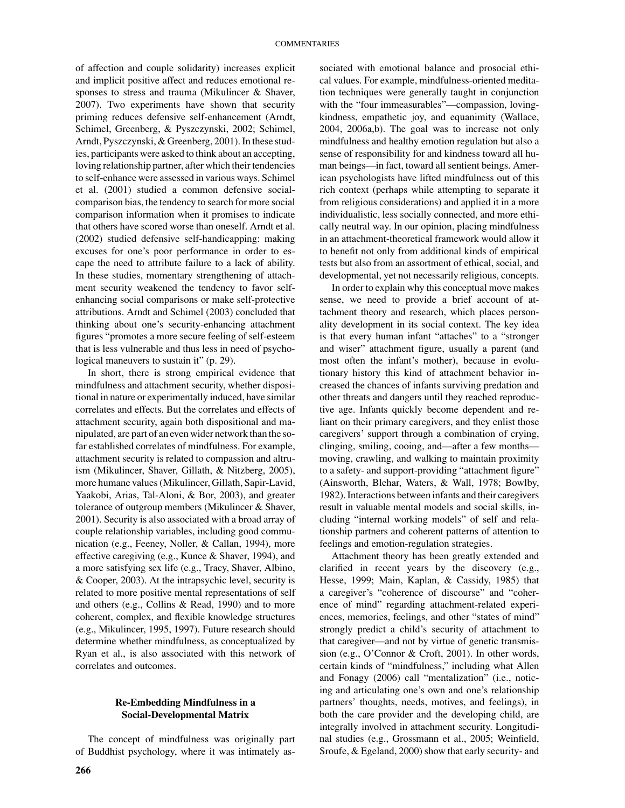of affection and couple solidarity) increases explicit and implicit positive affect and reduces emotional responses to stress and trauma (Mikulincer & Shaver, 2007). Two experiments have shown that security priming reduces defensive self-enhancement (Arndt, Schimel, Greenberg, & Pyszczynski, 2002; Schimel, Arndt, Pyszczynski, & Greenberg, 2001). In these studies, participants were asked to think about an accepting, loving relationship partner, after which their tendencies to self-enhance were assessed in various ways. Schimel et al. (2001) studied a common defensive socialcomparison bias, the tendency to search for more social comparison information when it promises to indicate that others have scored worse than oneself. Arndt et al. (2002) studied defensive self-handicapping: making excuses for one's poor performance in order to escape the need to attribute failure to a lack of ability. In these studies, momentary strengthening of attachment security weakened the tendency to favor selfenhancing social comparisons or make self-protective attributions. Arndt and Schimel (2003) concluded that thinking about one's security-enhancing attachment figures "promotes a more secure feeling of self-esteem that is less vulnerable and thus less in need of psychological maneuvers to sustain it" (p. 29).

In short, there is strong empirical evidence that mindfulness and attachment security, whether dispositional in nature or experimentally induced, have similar correlates and effects. But the correlates and effects of attachment security, again both dispositional and manipulated, are part of an even wider network than the sofar established correlates of mindfulness. For example, attachment security is related to compassion and altruism (Mikulincer, Shaver, Gillath, & Nitzberg, 2005), more humane values (Mikulincer, Gillath, Sapir-Lavid, Yaakobi, Arias, Tal-Aloni, & Bor, 2003), and greater tolerance of outgroup members (Mikulincer & Shaver, 2001). Security is also associated with a broad array of couple relationship variables, including good communication (e.g., Feeney, Noller, & Callan, 1994), more effective caregiving (e.g., Kunce & Shaver, 1994), and a more satisfying sex life (e.g., Tracy, Shaver, Albino, & Cooper, 2003). At the intrapsychic level, security is related to more positive mental representations of self and others (e.g., Collins & Read, 1990) and to more coherent, complex, and flexible knowledge structures (e.g., Mikulincer, 1995, 1997). Future research should determine whether mindfulness, as conceptualized by Ryan et al., is also associated with this network of correlates and outcomes.

### **Re-Embedding Mindfulness in a Social-Developmental Matrix**

The concept of mindfulness was originally part of Buddhist psychology, where it was intimately associated with emotional balance and prosocial ethical values. For example, mindfulness-oriented meditation techniques were generally taught in conjunction with the "four immeasurables"—compassion, lovingkindness, empathetic joy, and equanimity (Wallace, 2004, 2006a,b). The goal was to increase not only mindfulness and healthy emotion regulation but also a sense of responsibility for and kindness toward all human beings—in fact, toward all sentient beings. American psychologists have lifted mindfulness out of this rich context (perhaps while attempting to separate it from religious considerations) and applied it in a more individualistic, less socially connected, and more ethically neutral way. In our opinion, placing mindfulness in an attachment-theoretical framework would allow it to benefit not only from additional kinds of empirical tests but also from an assortment of ethical, social, and developmental, yet not necessarily religious, concepts.

In order to explain why this conceptual move makes sense, we need to provide a brief account of attachment theory and research, which places personality development in its social context. The key idea is that every human infant "attaches" to a "stronger and wiser" attachment figure, usually a parent (and most often the infant's mother), because in evolutionary history this kind of attachment behavior increased the chances of infants surviving predation and other threats and dangers until they reached reproductive age. Infants quickly become dependent and reliant on their primary caregivers, and they enlist those caregivers' support through a combination of crying, clinging, smiling, cooing, and—after a few months moving, crawling, and walking to maintain proximity to a safety- and support-providing "attachment figure" (Ainsworth, Blehar, Waters, & Wall, 1978; Bowlby, 1982). Interactions between infants and their caregivers result in valuable mental models and social skills, including "internal working models" of self and relationship partners and coherent patterns of attention to feelings and emotion-regulation strategies.

Attachment theory has been greatly extended and clarified in recent years by the discovery (e.g., Hesse, 1999; Main, Kaplan, & Cassidy, 1985) that a caregiver's "coherence of discourse" and "coherence of mind" regarding attachment-related experiences, memories, feelings, and other "states of mind" strongly predict a child's security of attachment to that caregiver—and not by virtue of genetic transmission (e.g., O'Connor & Croft, 2001). In other words, certain kinds of "mindfulness," including what Allen and Fonagy (2006) call "mentalization" (i.e., noticing and articulating one's own and one's relationship partners' thoughts, needs, motives, and feelings), in both the care provider and the developing child, are integrally involved in attachment security. Longitudinal studies (e.g., Grossmann et al., 2005; Weinfield, Sroufe, & Egeland, 2000) show that early security- and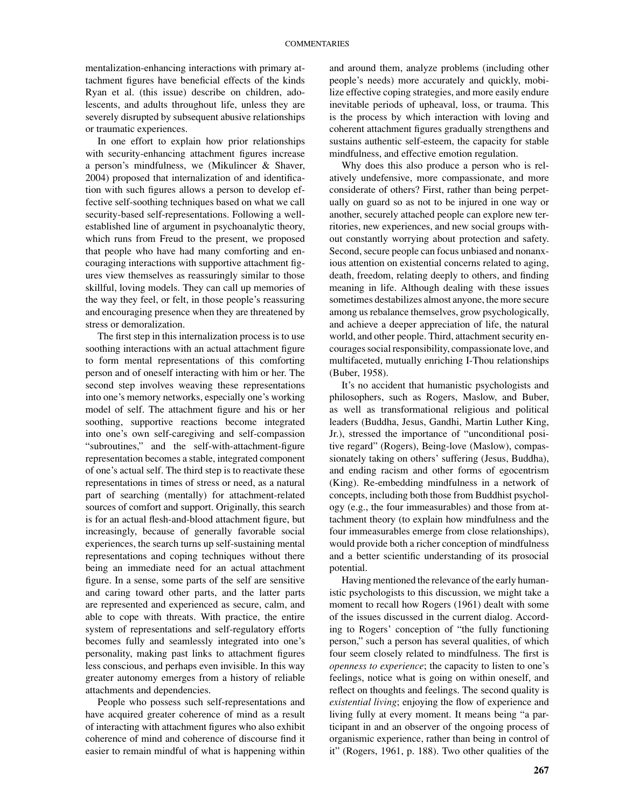mentalization-enhancing interactions with primary attachment figures have beneficial effects of the kinds Ryan et al. (this issue) describe on children, adolescents, and adults throughout life, unless they are severely disrupted by subsequent abusive relationships or traumatic experiences.

In one effort to explain how prior relationships with security-enhancing attachment figures increase a person's mindfulness, we (Mikulincer & Shaver, 2004) proposed that internalization of and identification with such figures allows a person to develop effective self-soothing techniques based on what we call security-based self-representations. Following a wellestablished line of argument in psychoanalytic theory, which runs from Freud to the present, we proposed that people who have had many comforting and encouraging interactions with supportive attachment figures view themselves as reassuringly similar to those skillful, loving models. They can call up memories of the way they feel, or felt, in those people's reassuring and encouraging presence when they are threatened by stress or demoralization.

The first step in this internalization process is to use soothing interactions with an actual attachment figure to form mental representations of this comforting person and of oneself interacting with him or her. The second step involves weaving these representations into one's memory networks, especially one's working model of self. The attachment figure and his or her soothing, supportive reactions become integrated into one's own self-caregiving and self-compassion "subroutines," and the self-with-attachment-figure representation becomes a stable, integrated component of one's actual self. The third step is to reactivate these representations in times of stress or need, as a natural part of searching (mentally) for attachment-related sources of comfort and support. Originally, this search is for an actual flesh-and-blood attachment figure, but increasingly, because of generally favorable social experiences, the search turns up self-sustaining mental representations and coping techniques without there being an immediate need for an actual attachment figure. In a sense, some parts of the self are sensitive and caring toward other parts, and the latter parts are represented and experienced as secure, calm, and able to cope with threats. With practice, the entire system of representations and self-regulatory efforts becomes fully and seamlessly integrated into one's personality, making past links to attachment figures less conscious, and perhaps even invisible. In this way greater autonomy emerges from a history of reliable attachments and dependencies.

People who possess such self-representations and have acquired greater coherence of mind as a result of interacting with attachment figures who also exhibit coherence of mind and coherence of discourse find it easier to remain mindful of what is happening within and around them, analyze problems (including other people's needs) more accurately and quickly, mobilize effective coping strategies, and more easily endure inevitable periods of upheaval, loss, or trauma. This is the process by which interaction with loving and coherent attachment figures gradually strengthens and sustains authentic self-esteem, the capacity for stable mindfulness, and effective emotion regulation.

Why does this also produce a person who is relatively undefensive, more compassionate, and more considerate of others? First, rather than being perpetually on guard so as not to be injured in one way or another, securely attached people can explore new territories, new experiences, and new social groups without constantly worrying about protection and safety. Second, secure people can focus unbiased and nonanxious attention on existential concerns related to aging, death, freedom, relating deeply to others, and finding meaning in life. Although dealing with these issues sometimes destabilizes almost anyone, the more secure among us rebalance themselves, grow psychologically, and achieve a deeper appreciation of life, the natural world, and other people. Third, attachment security encourages social responsibility, compassionate love, and multifaceted, mutually enriching I-Thou relationships (Buber, 1958).

It's no accident that humanistic psychologists and philosophers, such as Rogers, Maslow, and Buber, as well as transformational religious and political leaders (Buddha, Jesus, Gandhi, Martin Luther King, Jr.), stressed the importance of "unconditional positive regard" (Rogers), Being-love (Maslow), compassionately taking on others' suffering (Jesus, Buddha), and ending racism and other forms of egocentrism (King). Re-embedding mindfulness in a network of concepts, including both those from Buddhist psychology (e.g., the four immeasurables) and those from attachment theory (to explain how mindfulness and the four immeasurables emerge from close relationships), would provide both a richer conception of mindfulness and a better scientific understanding of its prosocial potential.

Having mentioned the relevance of the early humanistic psychologists to this discussion, we might take a moment to recall how Rogers (1961) dealt with some of the issues discussed in the current dialog. According to Rogers' conception of "the fully functioning person," such a person has several qualities, of which four seem closely related to mindfulness. The first is *openness to experience*; the capacity to listen to one's feelings, notice what is going on within oneself, and reflect on thoughts and feelings. The second quality is *existential living*; enjoying the flow of experience and living fully at every moment. It means being "a participant in and an observer of the ongoing process of organismic experience, rather than being in control of it" (Rogers, 1961, p. 188). Two other qualities of the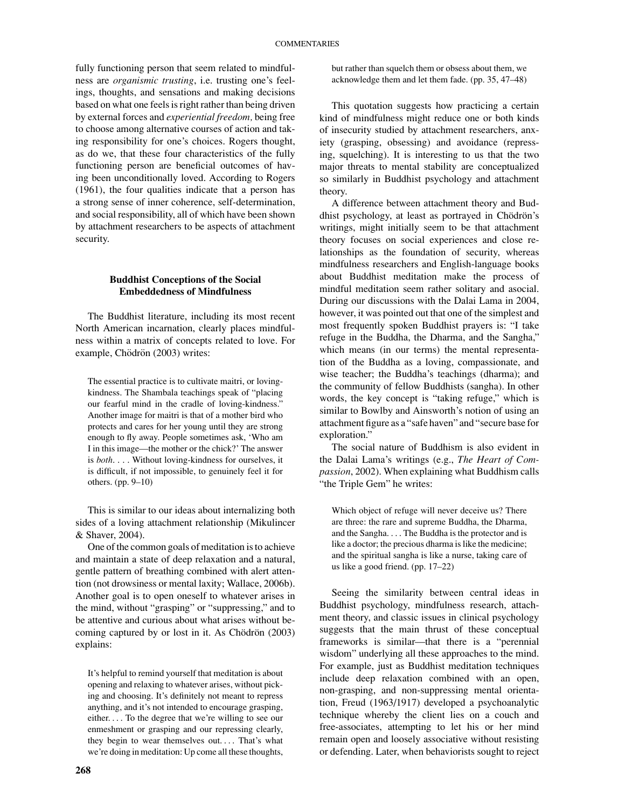fully functioning person that seem related to mindfulness are *organismic trusting*, i.e. trusting one's feelings, thoughts, and sensations and making decisions based on what one feels is right rather than being driven by external forces and *experiential freedom,* being free to choose among alternative courses of action and taking responsibility for one's choices. Rogers thought, as do we, that these four characteristics of the fully functioning person are beneficial outcomes of having been unconditionally loved. According to Rogers (1961), the four qualities indicate that a person has a strong sense of inner coherence, self-determination, and social responsibility, all of which have been shown by attachment researchers to be aspects of attachment security.

## **Buddhist Conceptions of the Social Embeddedness of Mindfulness**

The Buddhist literature, including its most recent North American incarnation, clearly places mindfulness within a matrix of concepts related to love. For example, Chödrön (2003) writes:

The essential practice is to cultivate maitri, or lovingkindness. The Shambala teachings speak of "placing our fearful mind in the cradle of loving-kindness." Another image for maitri is that of a mother bird who protects and cares for her young until they are strong enough to fly away. People sometimes ask, 'Who am I in this image—the mother or the chick?' The answer is *both*. . . . Without loving-kindness for ourselves, it is difficult, if not impossible, to genuinely feel it for others. (pp. 9–10)

This is similar to our ideas about internalizing both sides of a loving attachment relationship (Mikulincer & Shaver, 2004).

One of the common goals of meditation is to achieve and maintain a state of deep relaxation and a natural, gentle pattern of breathing combined with alert attention (not drowsiness or mental laxity; Wallace, 2006b). Another goal is to open oneself to whatever arises in the mind, without "grasping" or "suppressing," and to be attentive and curious about what arises without becoming captured by or lost in it. As Chödrön  $(2003)$ explains:

It's helpful to remind yourself that meditation is about opening and relaxing to whatever arises, without picking and choosing. It's definitely not meant to repress anything, and it's not intended to encourage grasping, either. . . . To the degree that we're willing to see our enmeshment or grasping and our repressing clearly, they begin to wear themselves out.... That's what we're doing in meditation: Up come all these thoughts,

but rather than squelch them or obsess about them, we acknowledge them and let them fade. (pp. 35, 47–48)

This quotation suggests how practicing a certain kind of mindfulness might reduce one or both kinds of insecurity studied by attachment researchers, anxiety (grasping, obsessing) and avoidance (repressing, squelching). It is interesting to us that the two major threats to mental stability are conceptualized so similarly in Buddhist psychology and attachment theory.

A difference between attachment theory and Buddhist psychology, at least as portrayed in Chödrön's writings, might initially seem to be that attachment theory focuses on social experiences and close relationships as the foundation of security, whereas mindfulness researchers and English-language books about Buddhist meditation make the process of mindful meditation seem rather solitary and asocial. During our discussions with the Dalai Lama in 2004, however, it was pointed out that one of the simplest and most frequently spoken Buddhist prayers is: "I take refuge in the Buddha, the Dharma, and the Sangha," which means (in our terms) the mental representation of the Buddha as a loving, compassionate, and wise teacher; the Buddha's teachings (dharma); and the community of fellow Buddhists (sangha). In other words, the key concept is "taking refuge," which is similar to Bowlby and Ainsworth's notion of using an attachment figure as a "safe haven" and "secure base for exploration."

The social nature of Buddhism is also evident in the Dalai Lama's writings (e.g., *The Heart of Compassion*, 2002). When explaining what Buddhism calls "the Triple Gem" he writes:

Which object of refuge will never deceive us? There are three: the rare and supreme Buddha, the Dharma, and the Sangha. . . . The Buddha is the protector and is like a doctor; the precious dharma is like the medicine; and the spiritual sangha is like a nurse, taking care of us like a good friend. (pp. 17–22)

Seeing the similarity between central ideas in Buddhist psychology, mindfulness research, attachment theory, and classic issues in clinical psychology suggests that the main thrust of these conceptual frameworks is similar—that there is a "perennial wisdom" underlying all these approaches to the mind. For example, just as Buddhist meditation techniques include deep relaxation combined with an open, non-grasping, and non-suppressing mental orientation, Freud (1963/1917) developed a psychoanalytic technique whereby the client lies on a couch and free-associates, attempting to let his or her mind remain open and loosely associative without resisting or defending. Later, when behaviorists sought to reject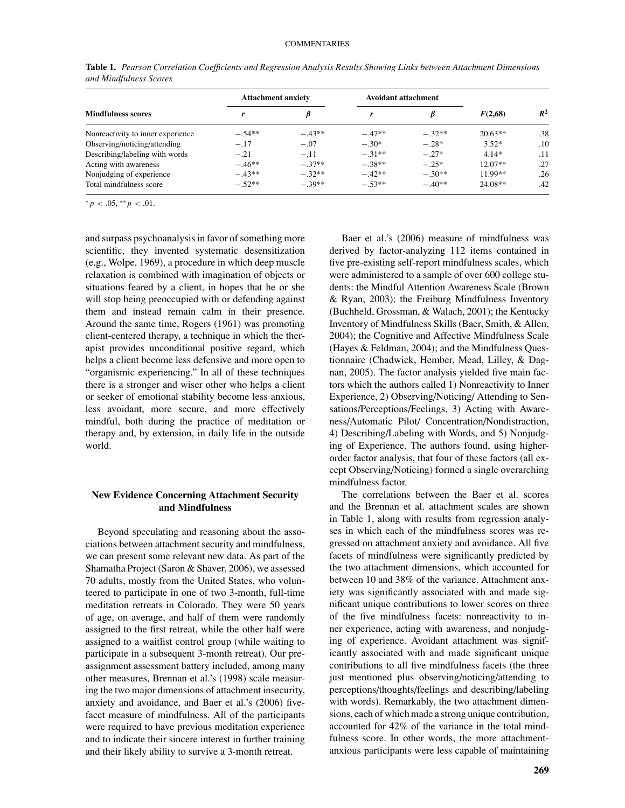| <b>Mindfulness scores</b>         | <b>Attachment anxiety</b> |          | Avoidant attachment |          |           |       |
|-----------------------------------|---------------------------|----------|---------------------|----------|-----------|-------|
|                                   |                           | В        | r                   |          | F(2,68)   | $R^2$ |
| Nonreactivity to inner experience | $-.54**$                  | $-.43**$ | $-.47**$            | $-.32**$ | $20.63**$ | .38   |
| Observing/noticing/attending      | $-.17$                    | $-.07$   | $-.30*$             | $-.28*$  | $3.52*$   | .10   |
| Describing/labeling with words    | $-.21$                    | $-.11$   | $-.31**$            | $-.27*$  | $4.14*$   | .11   |
| Acting with awareness             | $-.46**$                  | $-.37**$ | $-.38**$            | $-25*$   | $12.07**$ | .27   |
| Nonjudging of experience          | $-.43**$                  | $-.32**$ | $-.42**$            | $-.30**$ | 11.99**   | .26   |
| Total mindfulness score           | $-.52**$                  | $-.39**$ | $-.53**$            | $-.40**$ | $24.08**$ | .42   |

**Table 1.** *Pearson Correlation Coefficients and Regression Analysis Results Showing Links between Attachment Dimensions and Mindfulness Scores*

 $* p < .05, ** p < .01.$ 

and surpass psychoanalysis in favor of something more scientific, they invented systematic desensitization (e.g., Wolpe, 1969), a procedure in which deep muscle relaxation is combined with imagination of objects or situations feared by a client, in hopes that he or she will stop being preoccupied with or defending against them and instead remain calm in their presence. Around the same time, Rogers (1961) was promoting client-centered therapy, a technique in which the therapist provides unconditional positive regard, which helps a client become less defensive and more open to "organismic experiencing." In all of these techniques there is a stronger and wiser other who helps a client or seeker of emotional stability become less anxious, less avoidant, more secure, and more effectively mindful, both during the practice of meditation or therapy and, by extension, in daily life in the outside world.

### **New Evidence Concerning Attachment Security and Mindfulness**

Beyond speculating and reasoning about the associations between attachment security and mindfulness, we can present some relevant new data. As part of the Shamatha Project (Saron & Shaver, 2006), we assessed 70 adults, mostly from the United States, who volunteered to participate in one of two 3-month, full-time meditation retreats in Colorado. They were 50 years of age, on average, and half of them were randomly assigned to the first retreat, while the other half were assigned to a waitlist control group (while waiting to participate in a subsequent 3-month retreat). Our preassignment assessment battery included, among many other measures, Brennan et al.'s (1998) scale measuring the two major dimensions of attachment insecurity, anxiety and avoidance, and Baer et al.'s (2006) fivefacet measure of mindfulness. All of the participants were required to have previous meditation experience and to indicate their sincere interest in further training and their likely ability to survive a 3-month retreat.

Baer et al.'s (2006) measure of mindfulness was derived by factor-analyzing 112 items contained in five pre-existing self-report mindfulness scales, which were administered to a sample of over 600 college students: the Mindful Attention Awareness Scale (Brown & Ryan, 2003); the Freiburg Mindfulness Inventory (Buchheld, Grossman, & Walach, 2001); the Kentucky Inventory of Mindfulness Skills (Baer, Smith, & Allen, 2004); the Cognitive and Affective Mindfulness Scale (Hayes & Feldman, 2004); and the Mindfulness Questionnaire (Chadwick, Hember, Mead, Lilley, & Dagnan, 2005). The factor analysis yielded five main factors which the authors called 1) Nonreactivity to Inner Experience, 2) Observing/Noticing/ Attending to Sensations/Perceptions/Feelings, 3) Acting with Awareness/Automatic Pilot/ Concentration/Nondistraction, 4) Describing/Labeling with Words, and 5) Nonjudging of Experience. The authors found, using higherorder factor analysis, that four of these factors (all except Observing/Noticing) formed a single overarching mindfulness factor.

The correlations between the Baer et al. scores and the Brennan et al. attachment scales are shown in Table 1, along with results from regression analyses in which each of the mindfulness scores was regressed on attachment anxiety and avoidance. All five facets of mindfulness were significantly predicted by the two attachment dimensions, which accounted for between 10 and 38% of the variance. Attachment anxiety was significantly associated with and made significant unique contributions to lower scores on three of the five mindfulness facets: nonreactivity to inner experience, acting with awareness, and nonjudging of experience. Avoidant attachment was significantly associated with and made significant unique contributions to all five mindfulness facets (the three just mentioned plus observing/noticing/attending to perceptions/thoughts/feelings and describing/labeling with words). Remarkably, the two attachment dimensions, each of which made a strong unique contribution, accounted for 42% of the variance in the total mindfulness score. In other words, the more attachmentanxious participants were less capable of maintaining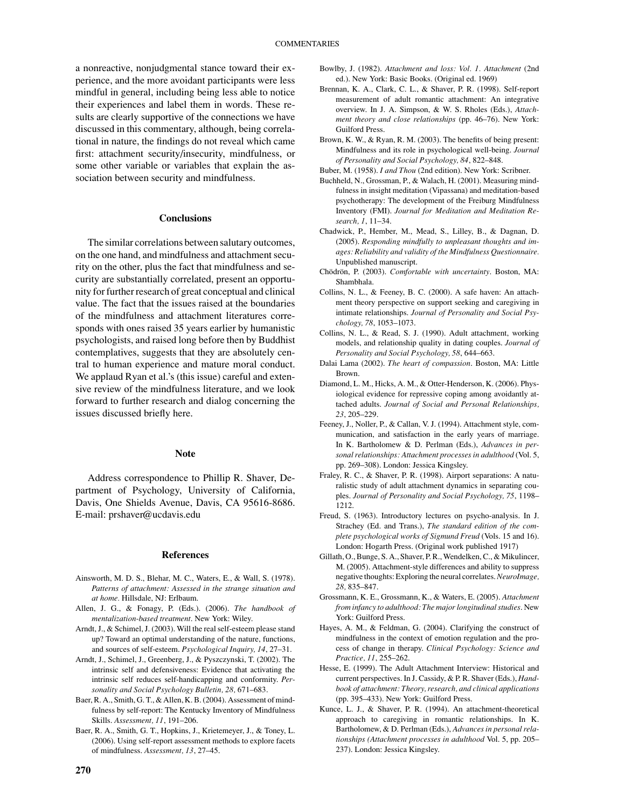a nonreactive, nonjudgmental stance toward their experience, and the more avoidant participants were less mindful in general, including being less able to notice their experiences and label them in words. These results are clearly supportive of the connections we have discussed in this commentary, although, being correlational in nature, the findings do not reveal which came first: attachment security/insecurity, mindfulness, or some other variable or variables that explain the association between security and mindfulness.

#### **Conclusions**

The similar correlations between salutary outcomes, on the one hand, and mindfulness and attachment security on the other, plus the fact that mindfulness and security are substantially correlated, present an opportunity for further research of great conceptual and clinical value. The fact that the issues raised at the boundaries of the mindfulness and attachment literatures corresponds with ones raised 35 years earlier by humanistic psychologists, and raised long before then by Buddhist contemplatives, suggests that they are absolutely central to human experience and mature moral conduct. We applaud Ryan et al.'s (this issue) careful and extensive review of the mindfulness literature, and we look forward to further research and dialog concerning the issues discussed briefly here.

#### **Note**

Address correspondence to Phillip R. Shaver, Department of Psychology, University of California, Davis, One Shields Avenue, Davis, CA 95616-8686. E-mail: prshaver@ucdavis.edu

#### **References**

- Ainsworth, M. D. S., Blehar, M. C., Waters, E., & Wall, S. (1978). *Patterns of attachment: Assessed in the strange situation and at home.* Hillsdale, NJ: Erlbaum.
- Allen, J. G., & Fonagy, P. (Eds.). (2006). *The handbook of mentalization-based treatment*. New York: Wiley.
- Arndt, J., & Schimel, J. (2003). Will the real self-esteem please stand up? Toward an optimal understanding of the nature, functions, and sources of self-esteem. *Psychological Inquiry, 14*, 27–31.
- Arndt, J., Schimel, J., Greenberg, J., & Pyszczynski, T. (2002). The intrinsic self and defensiveness: Evidence that activating the intrinsic self reduces self-handicapping and conformity. *Personality and Social Psychology Bulletin, 28,* 671–683*.*
- Baer, R. A., Smith, G. T., & Allen, K. B. (2004). Assessment of mindfulness by self-report: The Kentucky Inventory of Mindfulness Skills. *Assessment, 11*, 191–206.
- Baer, R. A., Smith, G. T., Hopkins, J., Krietemeyer, J., & Toney, L. (2006). Using self-report assessment methods to explore facets of mindfulness. *Assessment, 13*, 27–45.
- Bowlby, J. (1982). *Attachment and loss: Vol. 1. Attachment* (2nd ed.). New York: Basic Books. (Original ed. 1969)
- Brennan, K. A., Clark, C. L., & Shaver, P. R. (1998). Self-report measurement of adult romantic attachment: An integrative overview. In J. A. Simpson, & W. S. Rholes (Eds.), *Attachment theory and close relationships* (pp. 46–76). New York: Guilford Press.
- Brown, K. W., & Ryan, R. M. (2003). The benefits of being present: Mindfulness and its role in psychological well-being. *Journal of Personality and Social Psychology, 84*, 822–848.
- Buber, M. (1958). *I and Thou* (2nd edition). New York: Scribner.
- Buchheld, N., Grossman, P., & Walach, H. (2001). Measuring mindfulness in insight meditation (Vipassana) and meditation-based psychotherapy: The development of the Freiburg Mindfulness Inventory (FMI). *Journal for Meditation and Meditation Research, 1*, 11–34.
- Chadwick, P., Hember, M., Mead, S., Lilley, B., & Dagnan, D. (2005). *Responding mindfully to unpleasant thoughts and images: Reliability and validity of the Mindfulness Questionnaire.* Unpublished manuscript.
- Chödrön, P. (2003). *Comfortable with uncertainty*. Boston, MA: Shambhala.
- Collins, N. L., & Feeney, B. C. (2000). A safe haven: An attachment theory perspective on support seeking and caregiving in intimate relationships. *Journal of Personality and Social Psychology, 78*, 1053–1073.
- Collins, N. L., & Read, S. J. (1990). Adult attachment, working models, and relationship quality in dating couples. *Journal of Personality and Social Psychology, 58*, 644–663.
- Dalai Lama (2002). *The heart of compassion*. Boston, MA: Little Brown.
- Diamond, L. M., Hicks, A. M., & Otter-Henderson, K. (2006). Physiological evidence for repressive coping among avoidantly attached adults. *Journal of Social and Personal Relationships, 23*, 205–229.
- Feeney, J., Noller, P., & Callan, V. J. (1994). Attachment style, communication, and satisfaction in the early years of marriage. In K. Bartholomew & D. Perlman (Eds.), *Advances in personal relationships: Attachment processes in adulthood* (Vol. 5, pp. 269–308). London: Jessica Kingsley.
- Fraley, R. C., & Shaver, P. R. (1998). Airport separations: A naturalistic study of adult attachment dynamics in separating couples. *Journal of Personality and Social Psychology, 75*, 1198– 1212.
- Freud, S. (1963). Introductory lectures on psycho-analysis. In J. Strachey (Ed. and Trans.), *The standard edition of the complete psychological works of Sigmund Freud* (Vols. 15 and 16). London: Hogarth Press. (Original work published 1917)
- Gillath, O., Bunge, S. A., Shaver, P. R., Wendelken, C., & Mikulincer, M. (2005). Attachment-style differences and ability to suppress negative thoughts: Exploring the neural correlates.*NeuroImage, 28,* 835–847.
- Grossmann, K. E., Grossmann, K., & Waters, E. (2005). *Attachment from infancy to adulthood: The major longitudinal studies*. New York: Guilford Press.
- Hayes, A. M., & Feldman, G. (2004). Clarifying the construct of mindfulness in the context of emotion regulation and the process of change in therapy. *Clinical Psychology: Science and Practice, 11*, 255–262.
- Hesse, E. (1999). The Adult Attachment Interview: Historical and current perspectives. In J. Cassidy, & P. R. Shaver (Eds.), *Handbook of attachment: Theory, research, and clinical applications* (pp. 395–433). New York: Guilford Press.
- Kunce, L. J., & Shaver, P. R. (1994). An attachment-theoretical approach to caregiving in romantic relationships. In K. Bartholomew, & D. Perlman (Eds.), *Advances in personal relationships (Attachment processes in adulthood* Vol. 5, pp. 205– 237). London: Jessica Kingsley.